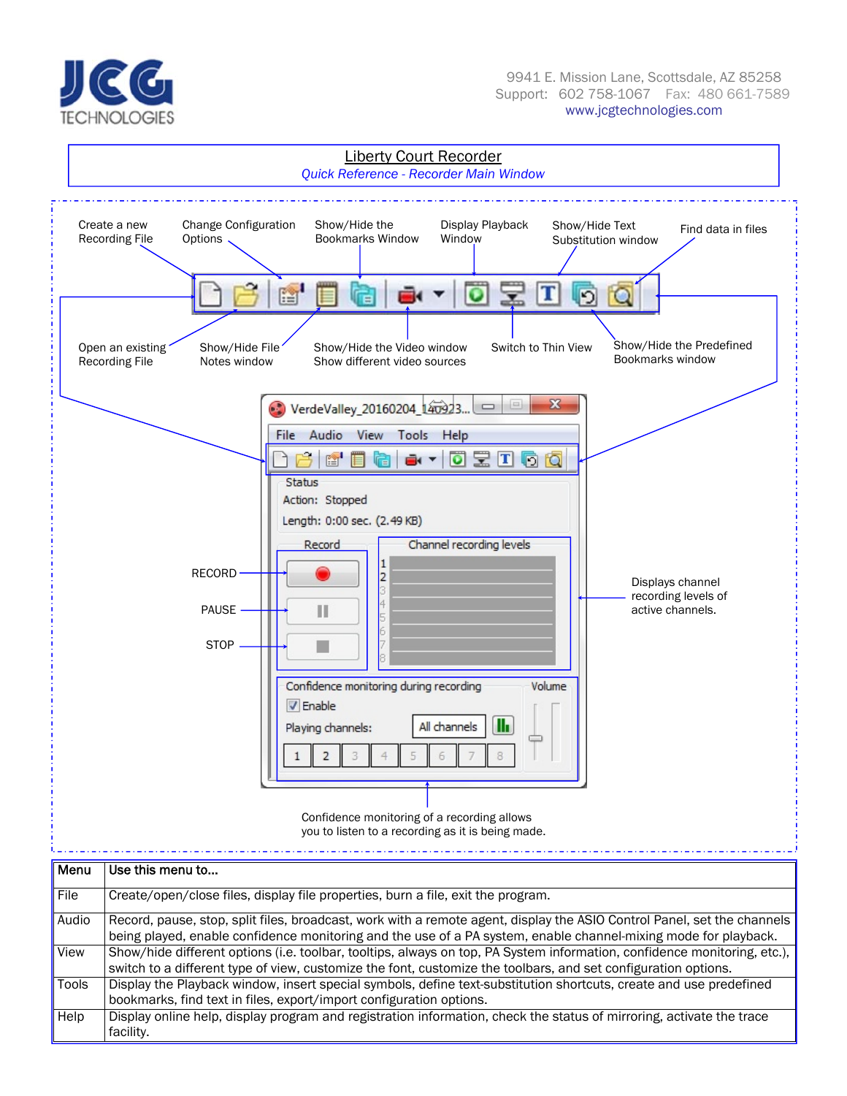



| File<br>Create/open/close files, display file properties, burn a file, exit the program.<br>Audio<br>being played, enable confidence monitoring and the use of a PA system, enable channel-mixing mode for playback.<br>View<br>switch to a different type of view, customize the font, customize the toolbars, and set configuration options.<br>Tools<br>Display the Playback window, insert special symbols, define text-substitution shortcuts, create and use predefined<br>bookmarks, find text in files, export/import configuration options.<br>Help<br>Display online help, display program and registration information, check the status of mirroring, activate the trace | <u>ivici iu</u> | use uns menu lu                                                                                                          |
|--------------------------------------------------------------------------------------------------------------------------------------------------------------------------------------------------------------------------------------------------------------------------------------------------------------------------------------------------------------------------------------------------------------------------------------------------------------------------------------------------------------------------------------------------------------------------------------------------------------------------------------------------------------------------------------|-----------------|--------------------------------------------------------------------------------------------------------------------------|
|                                                                                                                                                                                                                                                                                                                                                                                                                                                                                                                                                                                                                                                                                      |                 |                                                                                                                          |
|                                                                                                                                                                                                                                                                                                                                                                                                                                                                                                                                                                                                                                                                                      |                 | Record, pause, stop, split files, broadcast, work with a remote agent, display the ASIO Control Panel, set the channels  |
|                                                                                                                                                                                                                                                                                                                                                                                                                                                                                                                                                                                                                                                                                      |                 |                                                                                                                          |
|                                                                                                                                                                                                                                                                                                                                                                                                                                                                                                                                                                                                                                                                                      |                 | Show/hide different options (i.e. toolbar, tooltips, always on top, PA System information, confidence monitoring, etc.), |
|                                                                                                                                                                                                                                                                                                                                                                                                                                                                                                                                                                                                                                                                                      |                 |                                                                                                                          |
|                                                                                                                                                                                                                                                                                                                                                                                                                                                                                                                                                                                                                                                                                      |                 |                                                                                                                          |
|                                                                                                                                                                                                                                                                                                                                                                                                                                                                                                                                                                                                                                                                                      |                 |                                                                                                                          |
|                                                                                                                                                                                                                                                                                                                                                                                                                                                                                                                                                                                                                                                                                      |                 |                                                                                                                          |
|                                                                                                                                                                                                                                                                                                                                                                                                                                                                                                                                                                                                                                                                                      |                 | facility.                                                                                                                |